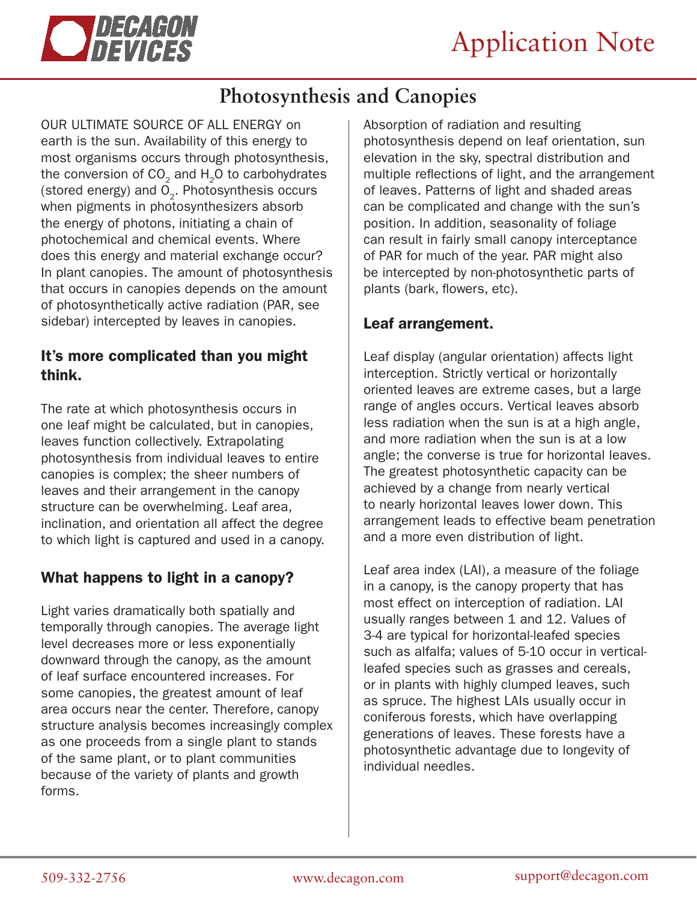

# **Photosynthesis and Canopies**

OUR ULTIMATE SOURCE OF ALL ENERGY on earth is the sun. Availability of this energy to most organisms occurs through photosynthesis, the conversion of  $CO<sub>2</sub>$  and  $H<sub>2</sub>O$  to carbohydrates (stored energy) and  $\overline{O}_2$ . Photosynthesis occurs when pigments in photosynthesizers absorb the energy of photons, initiating a chain of photochemical and chemical events. Where does this energy and material exchange occur? In plant canopies. The amount of photosynthesis that occurs in canopies depends on the amount of photosynthetically active radiation (PAR, see sidebar) intercepted by leaves in canopies.

### It's more complicated than you might think.

The rate at which photosynthesis occurs in one leaf might be calculated, but in canopies, leaves function collectively. Extrapolating photosynthesis from individual leaves to entire canopies is complex; the sheer numbers of leaves and their arrangement in the canopy structure can be overwhelming. Leaf area, inclination, and orientation all affect the degree to which light is captured and used in a canopy.

## What happens to light in a canopy?

Light varies dramatically both spatially and temporally through canopies. The average light level decreases more or less exponentially downward through the canopy, as the amount of leaf surface encountered increases. For some canopies, the greatest amount of leaf area occurs near the center. Therefore, canopy structure analysis becomes increasingly complex as one proceeds from a single plant to stands of the same plant, or to plant communities because of the variety of plants and growth forms.

Absorption of radiation and resulting photosynthesis depend on leaf orientation, sun elevation in the sky, spectral distribution and multiple reflections of light, and the arrangement of leaves. Patterns of light and shaded areas can be complicated and change with the sun's position. In addition, seasonality of foliage can result in fairly small canopy interceptance of PAR for much of the year. PAR might also be intercepted by non-photosynthetic parts of plants (bark, flowers, etc).

## Leaf arrangement.

Leaf display (angular orientation) affects light interception. Strictly vertical or horizontally oriented leaves are extreme cases, but a large range of angles occurs. Vertical leaves absorb less radiation when the sun is at a high angle, and more radiation when the sun is at a low angle; the converse is true for horizontal leaves. The greatest photosynthetic capacity can be achieved by a change from nearly vertical to nearly horizontal leaves lower down. This arrangement leads to effective beam penetration and a more even distribution of light.

Leaf area index (LAI), a measure of the foliage in a canopy, is the canopy property that has most effect on interception of radiation. LAI usually ranges between 1 and 12. Values of 3-4 are typical for horizontal-leafed species such as alfalfa; values of 5-10 occur in verticalleafed species such as grasses and cereals, or in plants with highly clumped leaves, such as spruce. The highest LAIs usually occur in coniferous forests, which have overlapping generations of leaves. These forests have a photosynthetic advantage due to longevity of individual needles.